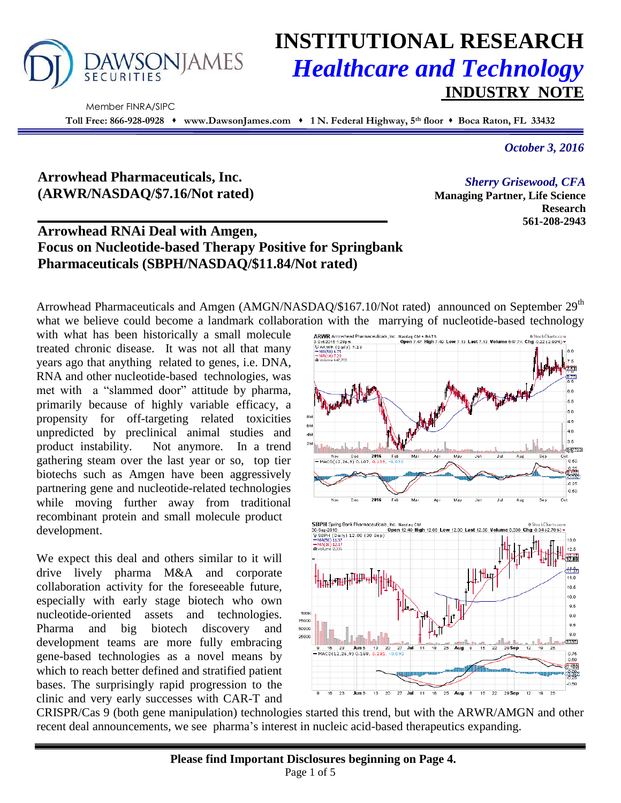

# **INSTITUTIONAL RESEARCH** *Healthcare and Technology* **INDUSTRY NOTE**

 Member FINRA/SIPC **Toll Free: 866-928-0928 www.DawsonJames.com 1 N. Federal Highway, 5th floor Boca Raton, FL 33432**

*October 3, 2016*

## **Arrowhead Pharmaceuticals, Inc. (ARWR/NASDAQ/\$7.16/Not rated)**

## **Arrowhead RNAi Deal with Amgen, Focus on Nucleotide-based Therapy Positive for Springbank Pharmaceuticals (SBPH/NASDAQ/\$11.84/Not rated)**

Arrowhead Pharmaceuticals and Amgen (AMGN/NASDAQ/\$167.10/Not rated) announced on September 29<sup>th</sup> what we believe could become a landmark collaboration with the marrying of nucleotide-based technology

with what has been historically a small molecule treated chronic disease. It was not all that many years ago that anything related to genes, i.e. DNA, RNA and other nucleotide-based technologies, was met with a "slammed door" attitude by pharma, primarily because of highly variable efficacy, a propensity for off-targeting related toxicities unpredicted by preclinical animal studies and product instability. Not anymore. In a trend gathering steam over the last year or so, top tier biotechs such as Amgen have been aggressively partnering gene and nucleotide-related technologies while moving further away from traditional recombinant protein and small molecule product development.

We expect this deal and others similar to it will drive lively pharma M&A and corporate collaboration activity for the foreseeable future, especially with early stage biotech who own nucleotide-oriented assets and technologies. Pharma and big biotech discovery and development teams are more fully embracing gene-based technologies as a novel means by which to reach better defined and stratified patient bases. The surprisingly rapid progression to the clinic and very early successes with CAR-T and



CRISPR/Cas 9 (both gene manipulation) technologies started this trend, but with the ARWR/AMGN and other recent deal announcements, we see pharma's interest in nucleic acid-based therapeutics expanding.

*Sherry Grisewood, CFA* **Managing Partner, Life Science Research 561-208-2943**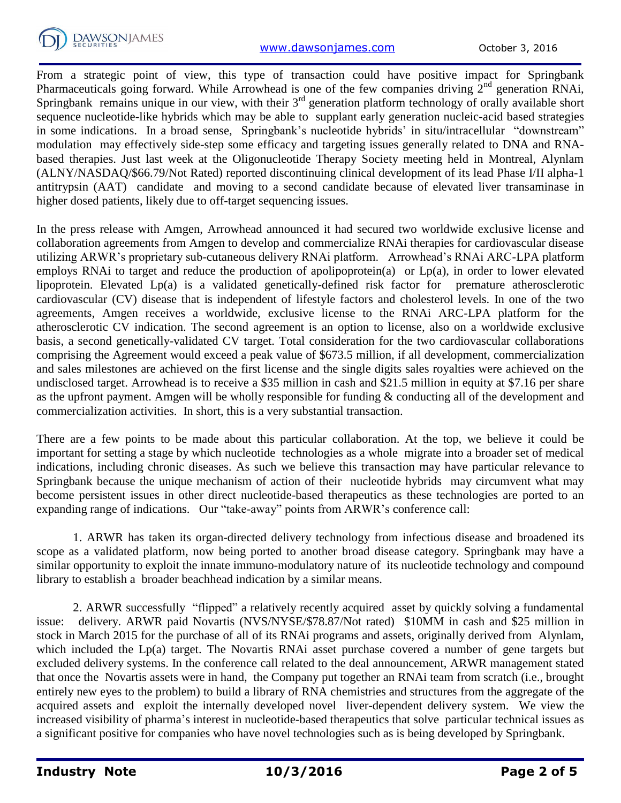

From a strategic point of view, this type of transaction could have positive impact for Springbank Pharmaceuticals going forward. While Arrowhead is one of the few companies driving  $2<sup>nd</sup>$  generation RNAi, Springbank remains unique in our view, with their  $3<sup>rd</sup>$  generation platform technology of orally available short sequence nucleotide-like hybrids which may be able to supplant early generation nucleic-acid based strategies in some indications. In a broad sense, Springbank's nucleotide hybrids' in situ/intracellular "downstream" modulation may effectively side-step some efficacy and targeting issues generally related to DNA and RNAbased therapies. Just last week at the Oligonucleotide Therapy Society meeting held in Montreal, Alynlam (ALNY/NASDAQ/\$66.79/Not Rated) reported discontinuing clinical development of its lead Phase I/II alpha-1 antitrypsin (AAT) candidate and moving to a second candidate because of elevated liver transaminase in higher dosed patients, likely due to off-target sequencing issues.

In the press release with Amgen, Arrowhead announced it had secured two worldwide exclusive license and collaboration agreements from Amgen to develop and commercialize RNAi therapies for cardiovascular disease utilizing ARWR's proprietary sub-cutaneous delivery RNAi platform. Arrowhead's RNAi ARC-LPA platform employs RNAi to target and reduce the production of apolipoprotein(a) or Lp(a), in order to lower elevated lipoprotein. Elevated Lp(a) is a validated genetically-defined risk factor for premature atherosclerotic cardiovascular (CV) disease that is independent of lifestyle factors and cholesterol levels. In one of the two agreements, Amgen receives a worldwide, exclusive license to the RNAi ARC-LPA platform for the atherosclerotic CV indication. The second agreement is an option to license, also on a worldwide exclusive basis, a second genetically-validated CV target. Total consideration for the two cardiovascular collaborations comprising the Agreement would exceed a peak value of \$673.5 million, if all development, commercialization and sales milestones are achieved on the first license and the single digits sales royalties were achieved on the undisclosed target. Arrowhead is to receive a \$35 million in cash and \$21.5 million in equity at \$7.16 per share as the upfront payment. Amgen will be wholly responsible for funding & conducting all of the development and commercialization activities. In short, this is a very substantial transaction.

There are a few points to be made about this particular collaboration. At the top, we believe it could be important for setting a stage by which nucleotide technologies as a whole migrate into a broader set of medical indications, including chronic diseases. As such we believe this transaction may have particular relevance to Springbank because the unique mechanism of action of their nucleotide hybrids may circumvent what may become persistent issues in other direct nucleotide-based therapeutics as these technologies are ported to an expanding range of indications. Our "take-away" points from ARWR's conference call:

1. ARWR has taken its organ-directed delivery technology from infectious disease and broadened its scope as a validated platform, now being ported to another broad disease category. Springbank may have a similar opportunity to exploit the innate immuno-modulatory nature of its nucleotide technology and compound library to establish a broader beachhead indication by a similar means.

2. ARWR successfully "flipped" a relatively recently acquired asset by quickly solving a fundamental issue: delivery. ARWR paid Novartis (NVS/NYSE/\$78.87/Not rated) \$10MM in cash and \$25 million in stock in March 2015 for the purchase of all of its RNAi programs and assets, originally derived from Alynlam, which included the Lp(a) target. The Novartis RNAi asset purchase covered a number of gene targets but excluded delivery systems. In the conference call related to the deal announcement, ARWR management stated that once the Novartis assets were in hand, the Company put together an RNAi team from scratch (i.e., brought entirely new eyes to the problem) to build a library of RNA chemistries and structures from the aggregate of the acquired assets and exploit the internally developed novel liver-dependent delivery system. We view the increased visibility of pharma's interest in nucleotide-based therapeutics that solve particular technical issues as a significant positive for companies who have novel technologies such as is being developed by Springbank.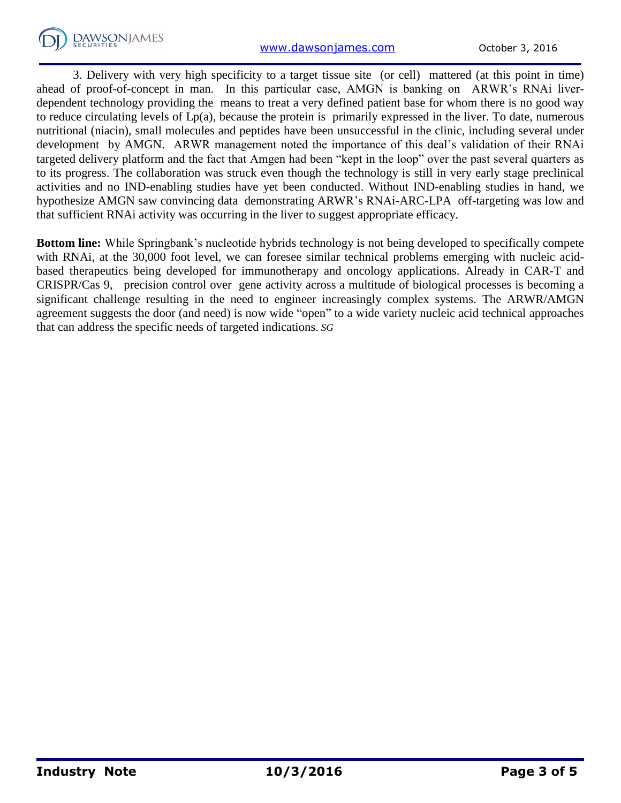

3. Delivery with very high specificity to a target tissue site (or cell) mattered (at this point in time) ahead of proof-of-concept in man. In this particular case, AMGN is banking on ARWR's RNAi liverdependent technology providing the means to treat a very defined patient base for whom there is no good way to reduce circulating levels of Lp(a), because the protein is primarily expressed in the liver. To date, numerous nutritional (niacin), small molecules and peptides have been unsuccessful in the clinic, including several under development by AMGN. ARWR management noted the importance of this deal's validation of their RNAi targeted delivery platform and the fact that Amgen had been "kept in the loop" over the past several quarters as to its progress. The collaboration was struck even though the technology is still in very early stage preclinical activities and no IND-enabling studies have yet been conducted. Without IND-enabling studies in hand, we hypothesize AMGN saw convincing data demonstrating ARWR's RNAi-ARC-LPA off-targeting was low and that sufficient RNAi activity was occurring in the liver to suggest appropriate efficacy.

**Bottom line:** While Springbank's nucleotide hybrids technology is not being developed to specifically compete with RNAi, at the 30,000 foot level, we can foresee similar technical problems emerging with nucleic acidbased therapeutics being developed for immunotherapy and oncology applications. Already in CAR-T and CRISPR/Cas 9, precision control over gene activity across a multitude of biological processes is becoming a significant challenge resulting in the need to engineer increasingly complex systems. The ARWR/AMGN agreement suggests the door (and need) is now wide "open" to a wide variety nucleic acid technical approaches that can address the specific needs of targeted indications. *SG*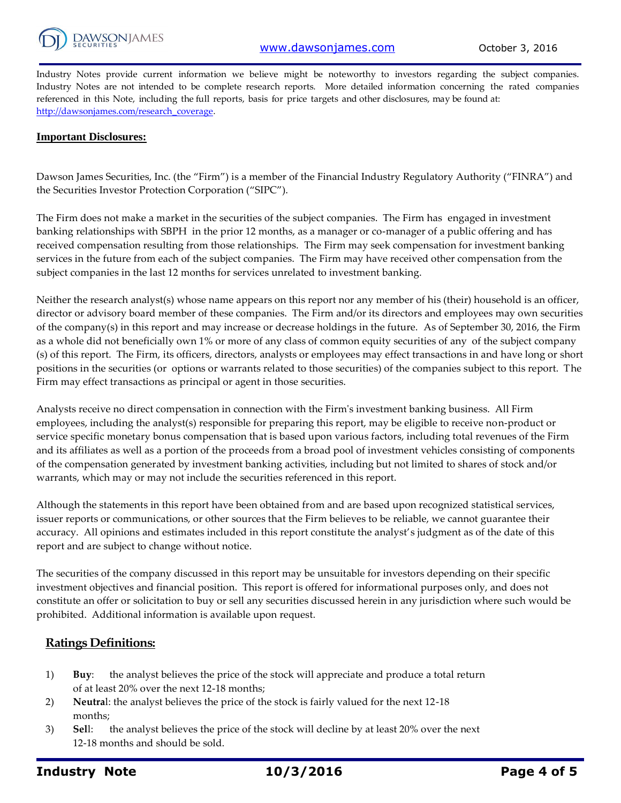

Industry Notes provide current information we believe might be noteworthy to investors regarding the subject companies. Industry Notes are not intended to be complete research reports. More detailed information concerning the rated companies referenced in this Note, including the full reports, basis for price targets and other disclosures, may be found at: [http://dawsonjames.com/research\\_coverage.](http://dawsonjames.com/research_coverage)

#### **Important Disclosures:**

Dawson James Securities, Inc. (the "Firm") is a member of the Financial Industry Regulatory Authority ("FINRA") and the Securities Investor Protection Corporation ("SIPC").

The Firm does not make a market in the securities of the subject companies. The Firm has engaged in investment banking relationships with SBPH in the prior 12 months, as a manager or co-manager of a public offering and has received compensation resulting from those relationships. The Firm may seek compensation for investment banking services in the future from each of the subject companies. The Firm may have received other compensation from the subject companies in the last 12 months for services unrelated to investment banking.

Neither the research analyst(s) whose name appears on this report nor any member of his (their) household is an officer, director or advisory board member of these companies. The Firm and/or its directors and employees may own securities of the company(s) in this report and may increase or decrease holdings in the future. As of September 30, 2016, the Firm as a whole did not beneficially own 1% or more of any class of common equity securities of any of the subject company (s) of this report. The Firm, its officers, directors, analysts or employees may effect transactions in and have long or short positions in the securities (or options or warrants related to those securities) of the companies subject to this report. The Firm may effect transactions as principal or agent in those securities.

Analysts receive no direct compensation in connection with the Firm's investment banking business. All Firm employees, including the analyst(s) responsible for preparing this report, may be eligible to receive non-product or service specific monetary bonus compensation that is based upon various factors, including total revenues of the Firm and its affiliates as well as a portion of the proceeds from a broad pool of investment vehicles consisting of components of the compensation generated by investment banking activities, including but not limited to shares of stock and/or warrants, which may or may not include the securities referenced in this report.

Although the statements in this report have been obtained from and are based upon recognized statistical services, issuer reports or communications, or other sources that the Firm believes to be reliable, we cannot guarantee their accuracy. All opinions and estimates included in this report constitute the analyst's judgment as of the date of this report and are subject to change without notice.

The securities of the company discussed in this report may be unsuitable for investors depending on their specific investment objectives and financial position. This report is offered for informational purposes only, and does not constitute an offer or solicitation to buy or sell any securities discussed herein in any jurisdiction where such would be prohibited. Additional information is available upon request.

#### **Ratings Definitions:**

- 1) **Buy**: the analyst believes the price of the stock will appreciate and produce a total return of at least 20% over the next 12-18 months;
- 2) **Neutra**l: the analyst believes the price of the stock is fairly valued for the next 12-18 months;
- 3) **Sel**l: the analyst believes the price of the stock will decline by at least 20% over the next 12-18 months and should be sold.